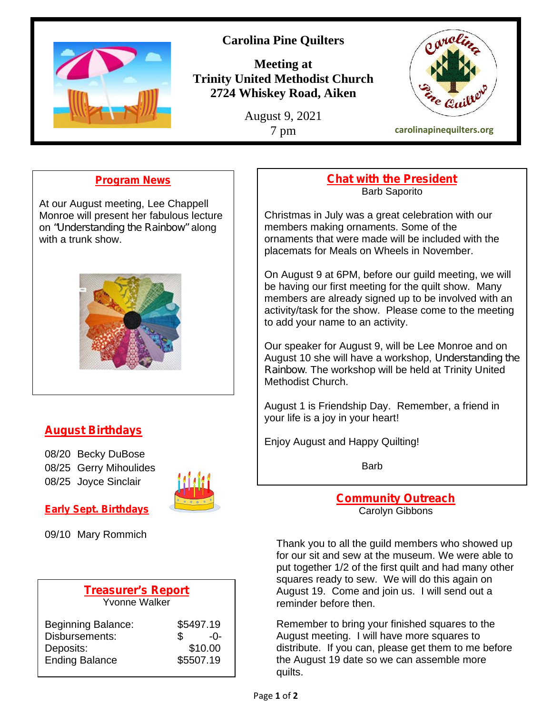

# **Carolina Pine Quilters**

**Meeting at Trinity United Methodist Church 2724 Whiskey Road, Aiken**

August 9, 2021



**Program News**

At our August meeting, Lee Chappell Monroe will present her fabulous lecture on *"Understanding the Rainbow"* along with a trunk show.



# **August Birthdays**

08/20 Becky DuBose 08/25 Gerry Mihoulides 08/25 Joyce Sinclair



**Early Sept. Birthdays** 09/10 Mary Rommich

| <b>Treasurer's Report</b><br><b>Yvonne Walker</b> |           |
|---------------------------------------------------|-----------|
| <b>Beginning Balance:</b>                         | \$5497.19 |
| Disbursements:                                    | -0-       |
| Deposits:                                         | \$10.00   |
| <b>Ending Balance</b>                             | \$5507.19 |

#### **Chat with the President** Barb Saporito

Christmas in July was a great celebration with our members making ornaments. Some of the ornaments that were made will be included with the placemats for Meals on Wheels in November.

On August 9 at 6PM, before our guild meeting, we will be having our first meeting for the quilt show. Many members are already signed up to be involved with an activity/task for the show. Please come to the meeting to add your name to an activity.

Our speaker for August 9, will be Lee Monroe and on August 10 she will have a workshop, *Understanding the Rainbow*. The workshop will be held at Trinity United Methodist Church.

August 1 is Friendship Day. Remember, a friend in your life is a joy in your heart!

Enjoy August and Happy Quilting!

Barb

**Community Outreach** Carolyn Gibbons

Thank you to all the guild members who showed up for our sit and sew at the museum. We were able to put together 1/2 of the first quilt and had many other squares ready to sew. We will do this again on August 19. Come and join us. I will send out a reminder before then.

Remember to bring your finished squares to the August meeting. I will have more squares to distribute. If you can, please get them to me before the August 19 date so we can assemble more quilts.